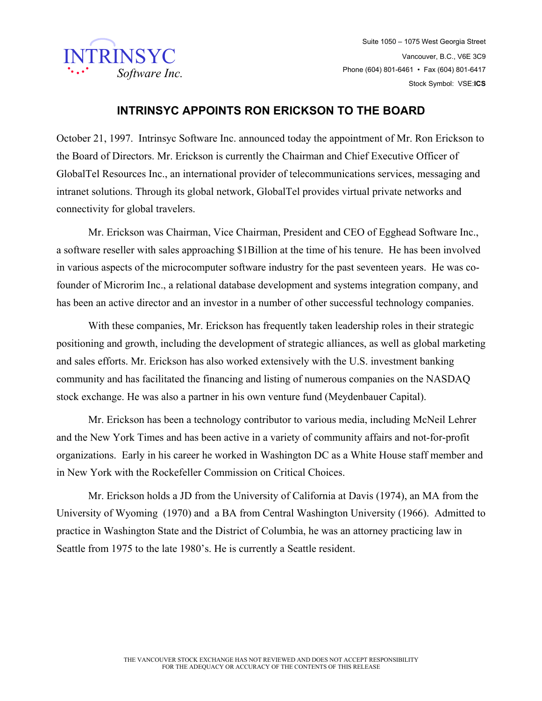

Suite 1050 – 1075 West Georgia Street Vancouver, B.C., V6E 3C9 Phone (604) 801-6461 • Fax (604) 801-6417 Stock Symbol: VSE:**ICS**

## **INTRINSYC APPOINTS RON ERICKSON TO THE BOARD**

October 21, 1997. Intrinsyc Software Inc. announced today the appointment of Mr. Ron Erickson to the Board of Directors. Mr. Erickson is currently the Chairman and Chief Executive Officer of GlobalTel Resources Inc., an international provider of telecommunications services, messaging and intranet solutions. Through its global network, GlobalTel provides virtual private networks and connectivity for global travelers.

Mr. Erickson was Chairman, Vice Chairman, President and CEO of Egghead Software Inc., a software reseller with sales approaching \$1Billion at the time of his tenure. He has been involved in various aspects of the microcomputer software industry for the past seventeen years. He was cofounder of Microrim Inc., a relational database development and systems integration company, and has been an active director and an investor in a number of other successful technology companies.

With these companies, Mr. Erickson has frequently taken leadership roles in their strategic positioning and growth, including the development of strategic alliances, as well as global marketing and sales efforts. Mr. Erickson has also worked extensively with the U.S. investment banking community and has facilitated the financing and listing of numerous companies on the NASDAQ stock exchange. He was also a partner in his own venture fund (Meydenbauer Capital).

Mr. Erickson has been a technology contributor to various media, including McNeil Lehrer and the New York Times and has been active in a variety of community affairs and not-for-profit organizations. Early in his career he worked in Washington DC as a White House staff member and in New York with the Rockefeller Commission on Critical Choices.

Mr. Erickson holds a JD from the University of California at Davis (1974), an MA from the University of Wyoming (1970) and a BA from Central Washington University (1966). Admitted to practice in Washington State and the District of Columbia, he was an attorney practicing law in Seattle from 1975 to the late 1980's. He is currently a Seattle resident.